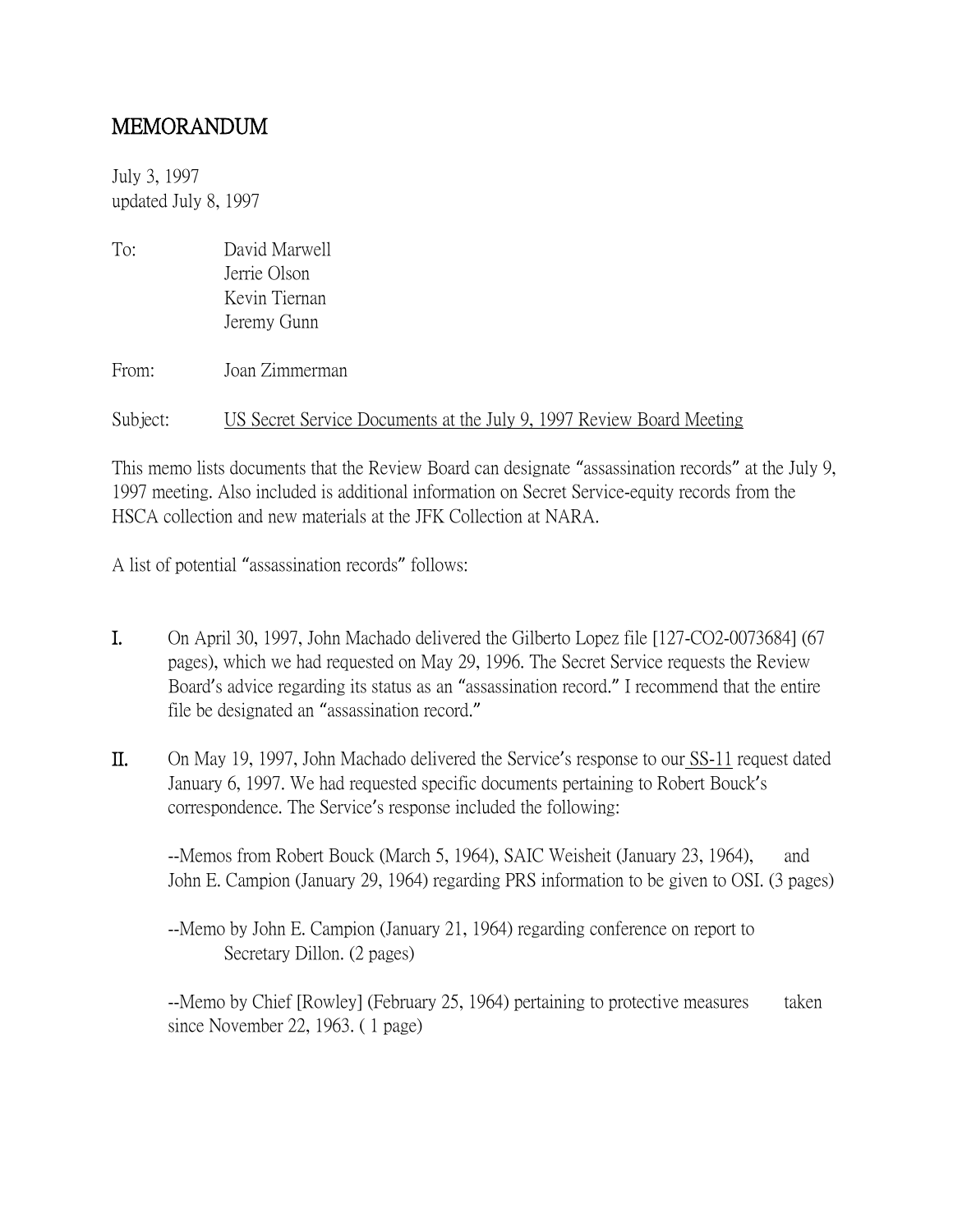## MEMORANDUM

July 3, 1997 updated July 8, 1997

| To:      | David Marwell                                                        |
|----------|----------------------------------------------------------------------|
|          | Jerrie Olson                                                         |
|          | Kevin Tiernan                                                        |
|          | Jeremy Gunn                                                          |
| From:    | Joan Zimmerman                                                       |
| Subject: | US Secret Service Documents at the July 9, 1997 Review Board Meeting |

This memo lists documents that the Review Board can designate "assassination records" at the July 9, 1997 meeting. Also included is additional information on Secret Service-equity records from the HSCA collection and new materials at the JFK Collection at NARA.

A list of potential "assassination records" follows:

- I. On April 30, 1997, John Machado delivered the Gilberto Lopez file [127-CO2-0073684] (67 pages), which we had requested on May 29, 1996. The Secret Service requests the Review Board's advice regarding its status as an "assassination record." I recommend that the entire file be designated an "assassination record."
- II. On May 19, 1997, John Machado delivered the Service's response to our SS-11 request dated January 6, 1997. We had requested specific documents pertaining to Robert Bouck's correspondence. The Service's response included the following:

--Memos from Robert Bouck (March 5, 1964), SAIC Weisheit (January 23, 1964), and John E. Campion (January 29, 1964) regarding PRS information to be given to OSI. (3 pages)

--Memo by John E. Campion (January 21, 1964) regarding conference on report to Secretary Dillon. (2 pages)

--Memo by Chief [Rowley] (February 25, 1964) pertaining to protective measures taken since November 22, 1963. ( 1 page)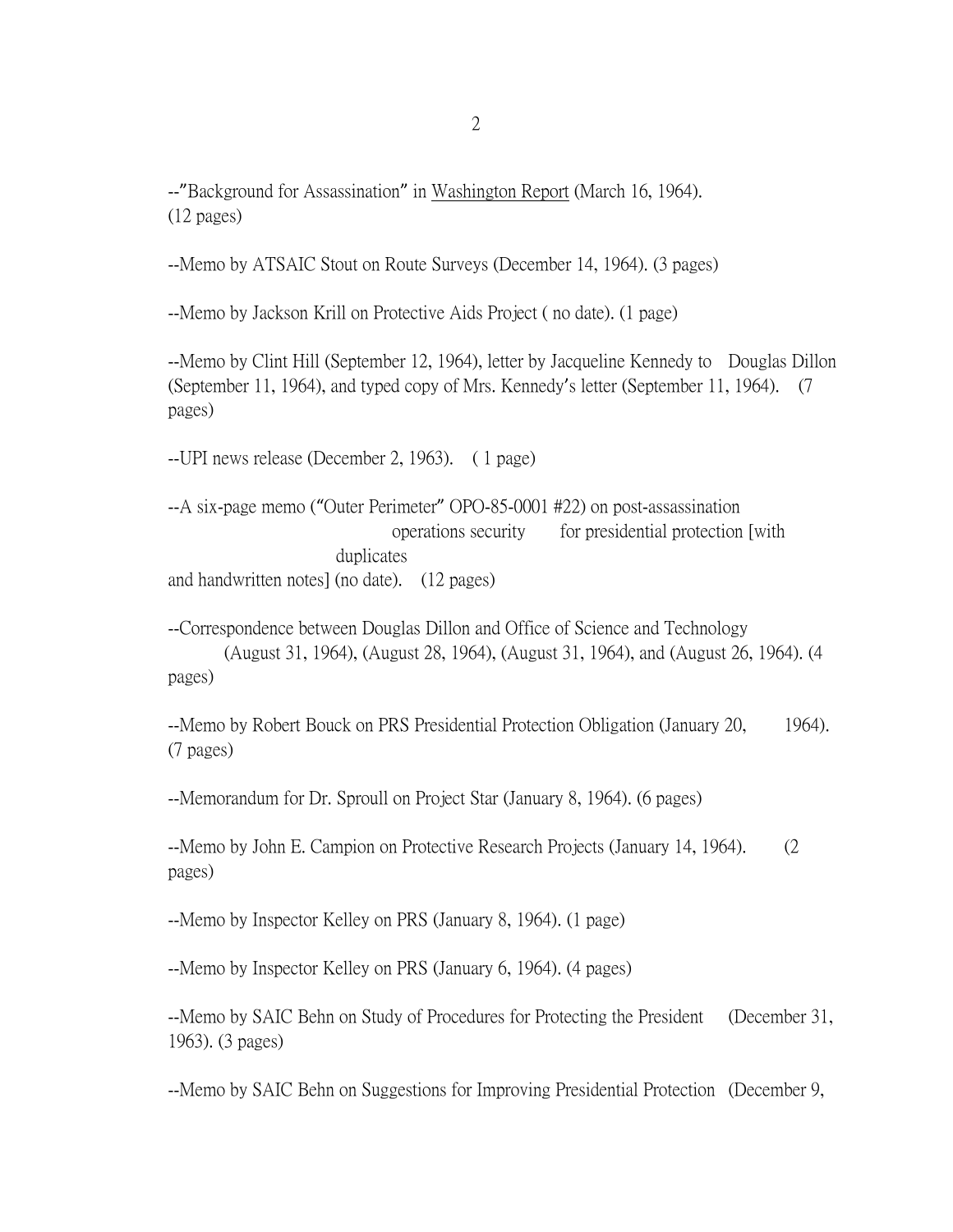--"Background for Assassination" in Washington Report (March 16, 1964). (12 pages)

--Memo by ATSAIC Stout on Route Surveys (December 14, 1964). (3 pages)

--Memo by Jackson Krill on Protective Aids Project ( no date). (1 page)

--Memo by Clint Hill (September 12, 1964), letter by Jacqueline Kennedy to Douglas Dillon (September 11, 1964), and typed copy of Mrs. Kennedy's letter (September 11, 1964). (7 pages)

--UPI news release (December 2, 1963). ( 1 page)

--A six-page memo ("Outer Perimeter" OPO-85-0001 #22) on post-assassination operations security for presidential protection [with duplicates and handwritten notes] (no date). (12 pages)

--Correspondence between Douglas Dillon and Office of Science and Technology (August 31, 1964), (August 28, 1964), (August 31, 1964), and (August 26, 1964). (4 pages)

--Memo by Robert Bouck on PRS Presidential Protection Obligation (January 20, 1964). (7 pages)

--Memorandum for Dr. Sproull on Project Star (January 8, 1964). (6 pages)

--Memo by John E. Campion on Protective Research Projects (January 14, 1964). (2 pages)

--Memo by Inspector Kelley on PRS (January 8, 1964). (1 page)

--Memo by Inspector Kelley on PRS (January 6, 1964). (4 pages)

--Memo by SAIC Behn on Study of Procedures for Protecting the President (December 31, 1963). (3 pages)

--Memo by SAIC Behn on Suggestions for Improving Presidential Protection (December 9,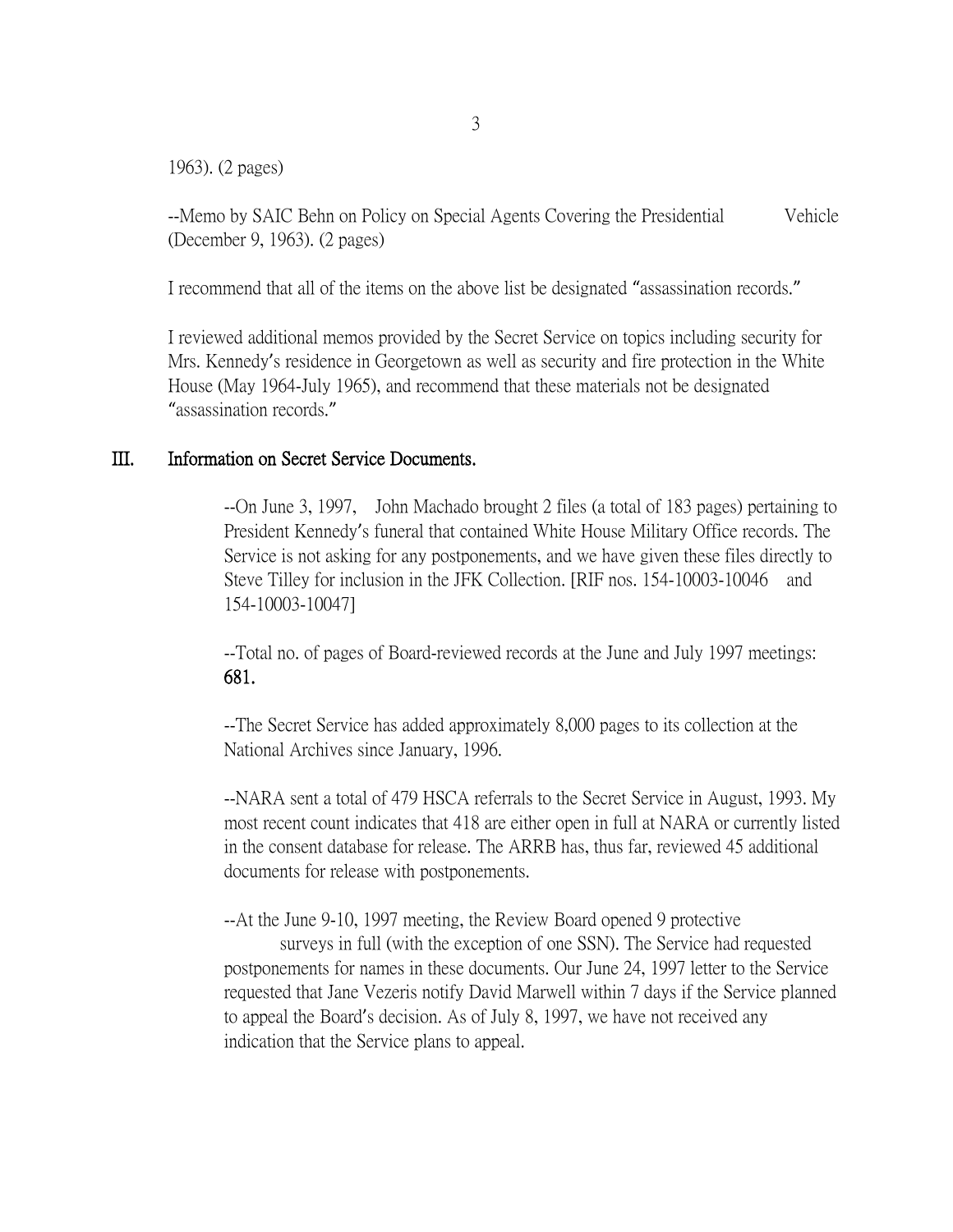1963). (2 pages)

--Memo by SAIC Behn on Policy on Special Agents Covering the Presidential Vehicle (December 9, 1963). (2 pages)

I recommend that all of the items on the above list be designated "assassination records."

I reviewed additional memos provided by the Secret Service on topics including security for Mrs. Kennedy's residence in Georgetown as well as security and fire protection in the White House (May 1964-July 1965), and recommend that these materials not be designated "assassination records."

## III. Information on Secret Service Documents.

--On June 3, 1997, John Machado brought 2 files (a total of 183 pages) pertaining to President Kennedy's funeral that contained White House Military Office records. The Service is not asking for any postponements, and we have given these files directly to Steve Tilley for inclusion in the JFK Collection. [RIF nos. 154-10003-10046 and 154-10003-10047]

--Total no. of pages of Board-reviewed records at the June and July 1997 meetings: 681.

--The Secret Service has added approximately 8,000 pages to its collection at the National Archives since January, 1996.

--NARA sent a total of 479 HSCA referrals to the Secret Service in August, 1993. My most recent count indicates that 418 are either open in full at NARA or currently listed in the consent database for release. The ARRB has, thus far, reviewed 45 additional documents for release with postponements.

--At the June 9-10, 1997 meeting, the Review Board opened 9 protective

surveys in full (with the exception of one SSN). The Service had requested postponements for names in these documents. Our June 24, 1997 letter to the Service requested that Jane Vezeris notify David Marwell within 7 days if the Service planned to appeal the Board's decision. As of July 8, 1997, we have not received any indication that the Service plans to appeal.